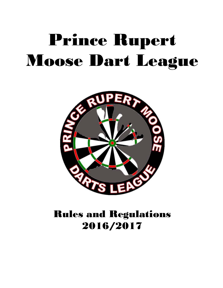# Prince Rupert Moose Dart League



# Rules and Regulations 2016/2017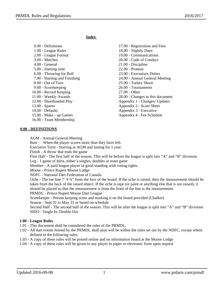**Index** 

| 0.00 - Definitions            | 17.00 - Registration and Fees    |
|-------------------------------|----------------------------------|
| 1.00 - League Rules           | 18.00 - Nightly Dues             |
| 2.00 - League Format          | 19.00 - Communications           |
| $3.00 - \text{Matches}$       | 20.00 - Code of Conduct          |
| $4.00$ - General              | 21.00 - Discipline               |
| 5.00 - Starting time          | $22.00$ - Protests               |
| 6.00 - Throwing for Bull      | 23.00 - Executives Duties        |
| 7.00 - Starting and Finishing | 24.00 - Annual General Meeting   |
| $8.00 - Out$ of Turn          | 25.00 - Turkey Shoot             |
| 9.00 - Scorekeeping           | 26.00 - Tournaments              |
| 10.00 - Record Keeping        | $27.00 - Other$                  |
| 11.00 - Weekly Awards         | 28.00 - Changes to this document |
| 12.00 - Shorthanded Play      | Appendix 1 - Changes/ Updates    |
| $13.00 - Spares$              | Appendix 2 - Score Sheet         |
| 14.00 - Defaults              | Appendix 3 - Executive           |
| 15.00 - Make - up Games       | Appendix 4 - Fee Schedule        |
| 16.00 - Team Membership       |                                  |
|                               |                                  |

#### **0.00 - DEFINITIONS**

AGM - Annual General Meeting

Bust - When the player scores more than they have left.

Executive Term - Starting at AGM and lasting for 1 year.

Finish - A throw that ends the game

First Half - The first half of the season. This will be before the league is split into "A" and "B" divisions Leg - 1 game of darts, either a singles, doubles or team game

Member - A paid league player in good standing with voting rights.

Moose - Prince Rupert Moose Lodge

NDFC - National Dart Federation of Canada

Oche - The toe line 7' 9 ¾" from the face of the board. If the oche is raised, then the measurement should be taken from the back of the raised object. If the oche is tape (or paint or anything else that is not raised), it should be placed so that the measurement is from the front of the line is the measurement.

PRMDL - Prince Rupert Moose Dart League

Scorekeeper - Person keeping score and marking it on the board provided (Chalker)

Season - Sept 01 to May 31 or based on schedule

Second Half - The second half of the season. This will be after the league is split into "A" and "B" divisions SIDO - Single In, Double Out

#### **1.00 - League Rules**

- 1.01 This document shall be considered the rules of the PRMDL.
- 1.02 All dart events hosted by the PRMDL shall play will be within the rules set out by the NDFC, except where defined in the following rules.
- 1.03 A copy of these rules will be posted online and on information board at the Moose Lodge
- 1.04 A copy of these rules will be given to any player in paper or electronic form upon request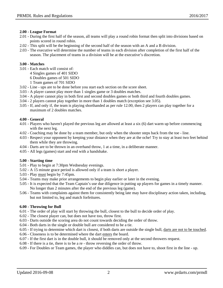# **2.00 - League Format**

- 2.01 During the first half of the season, all teams will play a round robin format then split into divisions based on points scored in round robin.
- 2.02 This split will be the beginning of the second half of the season with an A and a B division.
- 2.03 The executive will determine the number of teams in each division after completion of the first half of the season. The placement of teams in a division will be at the executive's discretion.

# **3.00 - Matches**

- 3.01 Each match will consist of: 4 Singles games of 401 SIDO 6 Doubles games of 501 SIDO
	- 1 Team games of 701 SIDO
- 3.02 Line ups are to be done before you start each section on the score sheet.
- 3.03 A player cannot play more than 1 singles game or 3 doubles matches.
- 3.04 A player cannot play in both first and second doubles games or both third and fourth doubles games.
- 3.04 2 players cannot play together in more than 1 doubles match (exception see 3.05).
- 3.05 If, and only if, the team is playing shorthanded as per rule 12.00, then 2 players can play together for a maximum of 2 doubles matches.

# **4.00 - General**

- 4.01 Players who haven't played the previous leg are allowed at least a six (6) dart warm up before commencing with the next leg.
- 4.02 Coaching may be done by a team member, but only when the shooter steps back from the toe line.
- 4.03 Respect your opponent by keeping your distance when they are at the oche! Try to stay at least two feet behind them while they are throwing.
- 4.04 Darts are to be thrown in an overhand throw, 1 at a time, in a deliberate manner.
- 4.05 All legs (games) start and end with a handshake.

#### **5.00 - Starting time**

- 5.01 Play to begin at 7:30pm Wednesday evenings.
- 5.02 A 15 minute grace period is allowed only if a team is short a player.
- 5.03 Play must begin by 7:45pm.
- 5.04 Teams may make prior arrangements to begin play earlier or later in the evening.
- 5.05 It is expected that the Team Captain's use due diligence in putting up players for games in a timely manner. No longer than 2 minutes after the end of the previous leg (game).
- 5.06 Teams with complaints against them for consistently being late may have disciplinary action taken, including, but not limited to, leg and match forfeitures.

# **6.00 - Throwing for Bull**

- 6.01 The order of play will start by throwing the bull, closest to the bull to decide order of play.
- 6.02 The closest player can, but does not have too, throw first.
- 6.03 Darts outside the scoring area do not count towards deciding the order of throw.
- 6.04 Both darts in the single or double bull are considered to be a tie.
- 6.05 If trying to determine which dart is closest, if both darts are outside the single bull, darts are not to be touched.
- 6.06 Closeness is to be determined where the dart enters the board.
- 6.07 If the first dart is in the double bull, it should be removed only at the second throwers request.
- 6.08 If there is a tie, there is to be a re throw reversing the order of throw.
- 6.09 For Doubles or Team games, the player who diddles can, but does not have to, shoot first in the line up.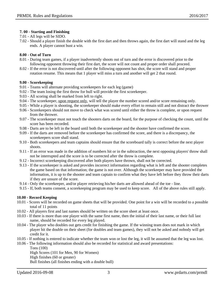#### **7. 00 - Starting and Finishing**

- 7.01 All legs will be SIDO.
- 7.02 Should a player finish the double with the first dart and then throws again, the first dart will stand and the leg ends. A player cannot bust a win.

#### **8.00 - Out of Turn**

- 8.01 During team games, if a player inadvertently shoots out of turn and the error is discovered prior to the following opponent throwing their first dart, the score will not count and proper order shall proceed.
- 8.02 If the error is not discovered until after the following opponent has shot, the score will stand and proper rotation resume. This means that 1 player will miss a turn and another will get 2 that round.

#### **9.00 - Scorekeeping**

- 9.01 Teams will alternate providing scorekeepers for each leg (game)
- 9.02 The team losing the first throw for bull will provide the first scorekeeper.
- 9.03 All scoring shall be marked from left to right.
- 9.04 The scorekeeper, upon request only, will tell the player the number scored and/or score remaining only.
- 9.05 While a player is shooting, the scorekeeper should make every effort to remain still and not distract the thrower
- 9.06 Scorekeepers should not move to check what was scored until either the throw is complete, or upon request from the thrower.
- 9.07 The scorekeeper must not touch the shooters darts on the board, for the purpose of checking the count, until the score has been recorded.
- 9.08 Darts are to be left in the board until both the scorekeeper and the shooter have confirmed the score.
- 9.09 If the darts are removed before the scorekeeper has confirmed the score, and there is a discrepancy, the scorekeepers score shall stand.
- 9.10 Both scorekeepers and team captains should ensure that the scoreboard tally is correct before the next player shoots.
- 9.11 If an error was made in the addition of numbers hit or in the subtraction, the next opposing players' throw shall not be interrupted and the score is to be corrected after the throw is complete.
- 9.12 Incorrect scorekeeping discovered after both players have thrown, shall not be corrected.
- 9.13 If the scorekeeper is asked and provides incorrect information regarding what is left and the shooter completes the game based on that information; the game is not over. Although the scorekeeper may have provided the information, it is up to the shooter and team captain to confirm what they have left before they throw their darts if they are unsure of the score.
- 9.14 Only the scorekeeper, and/or player retrieving his/her darts are allowed ahead of the toe line.
- 9.15 If, both teams consent, a scorekeeping program may be used to keep score. All of the above rules still apply.

#### **10.00 - Record Keeping**

- 10.01 Scores will be recorded on game sheets that will be provided. One point for a win will be recorded to a possible total of 11 points
- 10.02 All players first and last names should be written on the score sheet at least once.
- 10.03 If there is more than one player with the same first name, then the initial of their last name, or their full last name, should be recorded for every leg played.
- 10.04 The player who doubles out gets credit for finishing the game. If the winning team does not mark in which player hit the double on their sheet (for doubles and team games), they will not be asked and nobody will get credit for it.
- 10.05 If nothing is entered to indicate whether the team won or lost the leg, it will be assumed that the leg was lost.
- 10.06 The following information should also be recorded for statistical and award presentations:

Tons (100) High Scores (101 for Men, 90 for Women) High finishes (60 or greater) Bull finishes (all finishes ending with a double bull)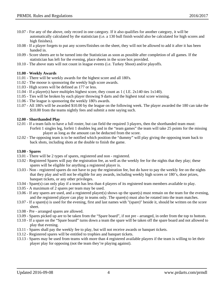- 10.07 For any of the above, only record in one category. If it also qualifies for another category, it will be automatically calculated by the statistician (i.e. a 130 bull finish would also be calculated for high scores and high finishes).
- 10.08 If a player forgets to put any scores/finishes on the sheet, they will not be allowed to add it after it has been handed in.
- 10.09 Score sheets are to be turned into the Statistician as soon as possible after completion of all games. If the statistician has left for the evening, place sheets in the score box provided.
- 10.10 The above stats will not count in league events (i.e. Turkey Shoot) and/or playoffs.

#### **11.00 - Weekly Awards**

- 11.01 There will be weekly awards for the highest score and all 180's.
- 11.02 The moose is sponsoring the weekly high score awards.
- 11.03 High scores will be defined as 177 or less.
- 11.04 If a player(s) have multiples highest score, they count as 1 ( I.E. 2x140 ties 1x140).
- 11.05 Ties will be broken by each player throwing 9 darts and the highest total score winning.
- 11.06 The league is sponsoring the weekly 180's awards.
- 11.07 All 180's will be awarded \$10.00 by the league on the following week. The player awarded the 180 can take the \$10.00 from the teams nightly fees and submit a note saying such.

#### **12.00 - Shorthanded Play**

- 12.01 If a team fails to have a full roster, but can field the required 3 players, then the shorthanded team must: Forfeit 1 singles leg, forfeit 1 doubles leg and in the "team games" the team will take 25 points for the missing player as long as the amount can be deducted from the score.
- 12.02 The opposing team is to be notified which position the "dummy" will play giving the opposing team back to back shots, including shots at the double to finish the game.

#### **13.00 - Spares**

- 13.01 There will be 2 types of spares, registered and non registered.
- 13.02 Registered Spares will pay the registration fee, as well as the weekly fee for the nights that they play; these spares will be eligible for anything a registered player is.
- 13.03 Non registered spares do not have to pay the registration fee, but do have to pay the weekly fee on the nights that they play and will not be eligible for any awards, including weekly high scores or 180's, door prizes, banquet tickets, or any other privileges.
- 13.04 Spare(s) can only play if a team has less than 4 players of its registered team members available to play.
- 13.05 A maximum of 2 spares per team may be used.
- 13.06 If any spares are used, and a registered player(s) shows up the spare(s) must remain on the team for the evening, and the registered player can play in teams only. The spare(s) must also be rotated into the team matches.
- 13.07 If a spare(s) is used for the evening, first and last names with "(spare)" beside it, should be written on the score sheet.
- 13.08 Pre arranged spares are allowed.
- 13.09 Spares picked up are to be taken from the "Spare board", if not pre arranged, in order from the top to bottom.
- 13.10 If a spare on the "Spare board" turns down a team the spare will be taken off the spare board and not allowed to play that evening.
- 13.11 Spares shall pay the weekly fee to play, but will not receive awards or banquet tickets.
- 13.12 Registered spares will be entitled to trophies and banquet tickets.
- 13.13 Spares may be used from teams with more than 4 registered available players if the team is willing to let their player play for opposing (not the team they're playing against).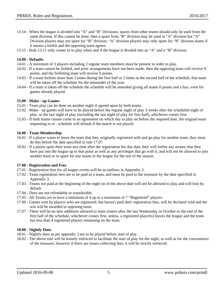- 13.14 When the league is divided into "A" and "B" Divisions, spares from other teams should only be used from the same division. If this cannot be done, then a spare from "B" division may be used in "A" division but "A" Division players may not spare for "B" division. "A" division players may only spare for "B" division teams if it means a forfeit and the opposing team agrees.
- 13.15 Rule 13.11 only comes in to play when and if the league is divided into an "A" and a "B" division.

#### **14.00 - Defaults**

- 14.01 A minimum of 3 players including 2 regular team members must be present in order to play.
- 14.02 If a team cannot be fielded, and prior arrangements have not been made, then the opposing team will receive 9 points, and the forfeiting team will receive 0 points.
- 14.03 If a team forfeits more than 3 times during the first half or 3 times in the second half of the schedule, that team will be taken off the schedule for the remainder of the year.
- 14.04 If a team is taken off the schedule the schedule will be amended giving all teams 0 points and a bye, even for games already played.

#### **15.00 - Make - up Games**

- 15.01 Team play can be done on another night if agreed upon by both teams.
- 15.02 Make up games will have to be played before the regular night of play 3 weeks after the scheduled night of play, or the last night of play (including the last night of play for first half), whichever comes first.
- 15.03 If both teams cannot come to an agreement on which day to play on before the required date, the original team requesting to re - schedule will default if the match is not played.

#### **16.00 - Team Membership**

- 16.01 If a player wants to leave the team that they originally registered with and go play for another team, they must do this before the date specified in rule 17.07.
- 16.02 If a player quits their team any time after the registration fee due date, they will forfeit any money that they have put into the league up to that point as well as any privileges that go with it, and will not be allowed to join another team or to spare for any teams in the league for the rest of the season.

#### **17.00 - Registration and Fees**

- 17.01 Registration fees for all league events will be as outlines in Appendix 3.
- 17.02 Team registration fees are to be paid as a team, and must be paid to the treasurer by the date specified in Appendix 3.
- 17.03 Teams not paid at the beginning of the night on of the above date will not be allowed to play and will lose by default.
- 17.04 Dues are not refundable or transferable.
- 17.05 All Teams are to have a minimum of 4 up to a maximum of 7 "Registered" players.
- 17.06 Games won by players who are registered, but haven't paid their registration fees, will be declared void and the win will be awarded to opposing team.
- 17.07 There will be no new additions allowed to team rosters after the last Wednesday in October or the end of the first half of the schedule, whichever comes first, unless, a registered player(s) leaves the league and the team has less than 4 registered players remaining on the team.

#### **18.00 - Nightly Dues**

- 18.01 Nightly dues as per appendix 3 are to be played before start of play.
- 18.02 The above rule will be loosely enforced to facilitate the start of play for the night, as well as for the convenience of the treasurer, however if there are issues collecting fees, it will be strictly enforced.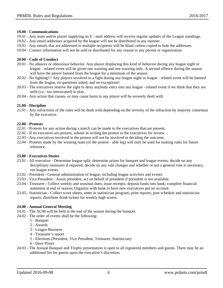#### **19.00 - Communications**

- 19.01 Any team and/or player supplying an E mail address will receive regular updates of the League standings.
- 19.02 Any email addresses acquired by the league will not be distributed in any manner.
- 19.03 Any emails that are addressed to multiple recipients will be blind carbon copied to hide the addresses.
- 19.04 Contact information will not be sold or distributed for any reason to any person or organization.

# **20.00 - Code of Conduct**

- 20.01 No abusive or obnoxious behavior. Any player displaying this kind of behavior during any league night or league - related event will be given one warning and one warning only. A second offence during the season will have the player banned from the league for a minimum of the season.
- 20.02 No fighting!!! Any players involved in a fight during any league night or league related event will be banned from the league, no questions asked, and no exceptions!
- 20.03 The executives reserve the right to deny anybody entry into any league related event if we think that they are unfit (i.e.: too intoxicated) to play.
- 20.04 Any action that causes, or may cause harm to any player will be severely dealt with.

# **21.00 - Discipline**

21.01 - Any infractions of the rules will be dealt with depending on the severity of the infraction by majority consensus by the executive.

# **22.00 - Protests**

- 22.01 Protests for any action during a match can be made to the executives that are present.
- 22.02 If no executive are present, submit in writing the protest to the executives for review.
- 22.03 Any executives involved in the protest will not be involved in deciding the outcome.
- 22.04 Protests made by the winning team (of the protest able leg) will only be used for making rules for future reference.

#### **23.00 - Executives Duties**

- 23.01 All executive Determine league split; determine prizes for banquet and league events; decide on any disciplinary measures if required; decide on any rule changes and whether or not a general vote is necessary, run league events.
- 23.02 President General administration of league, including league activities and events.
- 23.03 Vice President Assist president, act on behalf of president if president is not available.
- 23.04 Treasurer Collect weekly and seasonal dues; issue receipts; deposit funds into bank; complete financial statement at end of season; Organize with bank to have new executives put on account.
- 23.05 Statistician Collect score sheets, enter in statistician program; print reports; post schedule and statistician reports; distribute drink tickets for weekly high scores.

# **24.00 - Annual General Meeting**

- 24.01 The AGM will be held at the end of the season during the banquet.
- 24.02 The order of events shall be the following:
	- 1 Banquet
	- 2 Awards
	- 3 League Business
	- 4 Treasurer's report
	- 5 Elections (President, Vice President, Treasurer, Statistician)
	- 6 Door Prizes
- 24.03 The Annual Banquet and Trophy presentation is open to all registered members and guests. There may be an additional fee for guests upon the executive's discretion.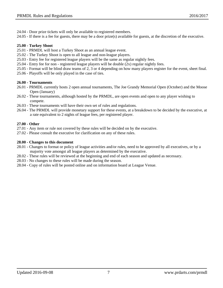- 24.04 Door prize tickets will only be available to registered members.
- 24.05 If there is a fee for guests, there may be a door prize(s) available for guests, at the discretion of the executive.

# **25.00 - Turkey Shoot**

- 25.01 PRMDL will host a Turkey Shoot as an annual league event.
- 25.02 The Turkey Shoot is open to all league and non-league players.
- 25.03 Entry fee for registered league players will be the same as regular nightly fees.
- 25.04 Entry fee for non registered league players will be double (2x) regular nightly fees.
- 25.05 Format will be blind draw teams of 2, 3 or 4 depending on how many players register for the event, sheet final.
- 25.06 Playoffs will be only played in the case of ties.

# **26.00 - Tournaments**

- 26.01 PRMDL currently hosts 2 open annual tournaments, The Joe Grandy Memorial Open (October) and the Moose Open (January)
- 26.02 These tournaments, although hosted by the PRMDL, are open events and open to any player wishing to compete.
- 26.03 These tournaments will have their own set of rules and regulations.
- 26.04 The PRMDL will provide monetary support for these events, at a breakdown to be decided by the executive, at a rate equivalent to 2 nights of league fees, per registered player.

# **27.00 - Other**

- 27.01 Any item or rule not covered by these rules will be decided on by the executive.
- 27.02 Please consult the executive for clarification on any of these rules.

# **28.00 - Changes to this document**

- 28.01 Changes to format or policy of league activities and/or rules, need to be approved by all executives, or by a majority vote amongst all league players as determined by the executive.
- 28.02 These rules will be reviewed at the beginning and end of each season and updated as necessary.
- 28.03 No changes to these rules will be made during the season.
- 28.04 Copy of rules will be posted online and on information board at League Venue.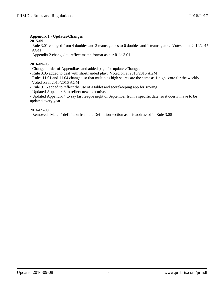#### **Appendix 1 - Updates/Changes 2015-09**

- Rule 3.01 changed from 4 doubles and 3 teams games to 6 doubles and 1 teams game. Votes on at 2014/2015 AGM
- Appendix 2 changed to reflect match format as per Rule 3.01

# **2016-09-05**

- Changed order of Appendixes and added page for updates/Changes
- Rule 3.05 added to deal with shorthanded play. Voted on at 2015/2016 AGM
- Rules 11.01 and 11.04 changed so that multiples high scores are the same as 1 high score for the weekly. Voted on at 2015/2016 AGM
- Rule 9.15 added to reflect the use of a tablet and scorekeeping app for scoring.
- Updated Appendix 3 to reflect new executive.
- Updated Appendix 4 to say last league night of September from a specific date, so it doesn't have to be updated every year.

# 2016-09-08

- Removed "Match" definition from the Definition section as it is addressed in Rule 3.00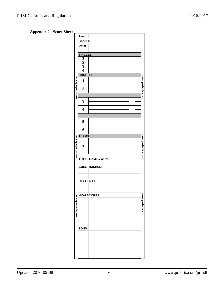# **Appendix 2 - Score Sheet**

|                 | Team:                  |                       |                 |  |
|-----------------|------------------------|-----------------------|-----------------|--|
|                 | Board #:               |                       |                 |  |
|                 | Date:                  |                       |                 |  |
|                 |                        |                       |                 |  |
|                 | <b>SINGLES</b>         |                       |                 |  |
|                 | 1                      |                       |                 |  |
|                 | $\overline{2}$         |                       |                 |  |
|                 | $\frac{3}{4}$          |                       |                 |  |
|                 |                        |                       |                 |  |
|                 | <b>DOUBLES</b>         |                       |                 |  |
|                 | 1                      |                       |                 |  |
|                 |                        |                       |                 |  |
|                 | $\mathbf 2$            |                       |                 |  |
| www.prdarts.com |                        |                       | www.prdarts.com |  |
|                 | 3                      |                       |                 |  |
|                 |                        |                       |                 |  |
|                 | 4                      |                       |                 |  |
|                 |                        |                       |                 |  |
|                 |                        |                       |                 |  |
|                 | 5                      |                       |                 |  |
|                 |                        |                       |                 |  |
|                 | 6                      |                       |                 |  |
|                 | <b>TEAMS</b>           |                       |                 |  |
| www.prdarts.com |                        |                       | www.prdarts.com |  |
|                 | 1                      |                       |                 |  |
|                 |                        |                       |                 |  |
|                 |                        |                       |                 |  |
|                 | <b>TOTAL GAMES WON</b> |                       |                 |  |
|                 |                        |                       |                 |  |
|                 |                        | <b>BULL FINISHES:</b> |                 |  |
|                 |                        |                       |                 |  |
|                 |                        |                       |                 |  |
|                 |                        | <b>HIGH FINISHES:</b> |                 |  |
|                 |                        |                       |                 |  |
|                 |                        |                       |                 |  |
|                 |                        | <b>HIGH SCORES:</b>   |                 |  |
|                 |                        |                       |                 |  |
|                 |                        |                       |                 |  |
| www.prdarts.com |                        |                       | www.prdarts.com |  |
|                 |                        |                       |                 |  |
|                 |                        |                       |                 |  |
|                 |                        |                       |                 |  |
|                 |                        |                       |                 |  |
|                 | TONS:                  |                       |                 |  |
|                 |                        |                       |                 |  |
|                 |                        |                       |                 |  |
|                 |                        |                       |                 |  |
|                 |                        |                       |                 |  |
|                 |                        |                       |                 |  |
|                 |                        |                       |                 |  |